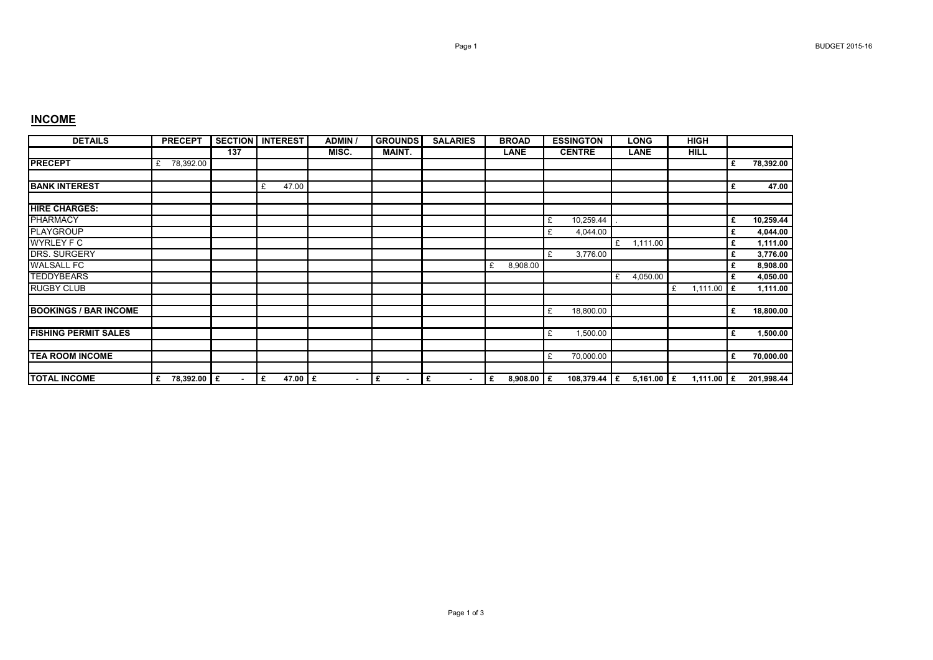## **INCOME**

| <b>DETAILS</b>               | <b>PRECEPT</b>   |        | <b>SECTION I INTEREST</b> | <b>ADMIN</b> | <b>GROUNDS</b> | <b>SALARIES</b>      | <b>BROAD</b>      | <b>ESSINGTON</b> | <b>LONG</b>   | <b>HIGH</b>   |    |            |
|------------------------------|------------------|--------|---------------------------|--------------|----------------|----------------------|-------------------|------------------|---------------|---------------|----|------------|
|                              |                  | 137    |                           | MISC.        | <b>MAINT.</b>  |                      | <b>LANE</b>       | <b>CENTRE</b>    | <b>LANE</b>   | <b>HILL</b>   |    |            |
| <b>PRECEPT</b>               | 78,392.00<br>£   |        |                           |              |                |                      |                   |                  |               |               | £  | 78,392.00  |
| <b>BANK INTEREST</b>         |                  |        | 47.00<br>£                |              |                |                      |                   |                  |               |               | £  | 47.00      |
| <b>HIRE CHARGES:</b>         |                  |        |                           |              |                |                      |                   |                  |               |               |    |            |
| <b>PHARMACY</b>              |                  |        |                           |              |                |                      |                   | 10,259.44<br>£   |               |               | £  | 10,259.44  |
| <b>PLAYGROUP</b>             |                  |        |                           |              |                |                      |                   | 4,044.00<br>£    |               |               | £  | 4,044.00   |
| <b>WYRLEY F C</b>            |                  |        |                           |              |                |                      |                   |                  | £<br>1,111.00 |               | £  | 1,111.00   |
| DRS. SURGERY                 |                  |        |                           |              |                |                      |                   | 3,776.00<br>£    |               |               | £  | 3,776.00   |
| <b>WALSALL FC</b>            |                  |        |                           |              |                |                      | 8,908.00<br>£     |                  |               |               | £  | 8,908.00   |
| <b>TEDDYBEARS</b>            |                  |        |                           |              |                |                      |                   |                  | 4,050.00<br>£ |               | £  | 4,050.00   |
| <b>RUGBY CLUB</b>            |                  |        |                           |              |                |                      |                   |                  |               | 1,111.00<br>£ | Ι£ | 1,111.00   |
| <b>BOOKINGS / BAR INCOME</b> |                  |        |                           |              |                |                      |                   | 18,800.00<br>£   |               |               | £  | 18,800.00  |
|                              |                  |        |                           |              |                |                      |                   |                  |               |               |    |            |
| <b>FISHING PERMIT SALES</b>  |                  |        |                           |              |                |                      |                   | 1,500.00<br>£    |               |               | £  | 1,500.00   |
|                              |                  |        |                           |              |                |                      |                   |                  |               |               |    |            |
| <b>TEA ROOM INCOME</b>       |                  |        |                           |              |                |                      |                   | 70,000.00<br>£   |               |               | £  | 70,000.00  |
| <b>TOTAL INCOME</b>          | 78,392.00 £<br>£ | $\sim$ | 47.00 £<br>Ι£             | $\sim$       | Ι£             | Ι£<br>$\blacksquare$ | 8,908.00 $E$<br>£ | 108,379.44 E     | 5,161.00 $E$  | 1,111.00 $E$  |    | 201,998.44 |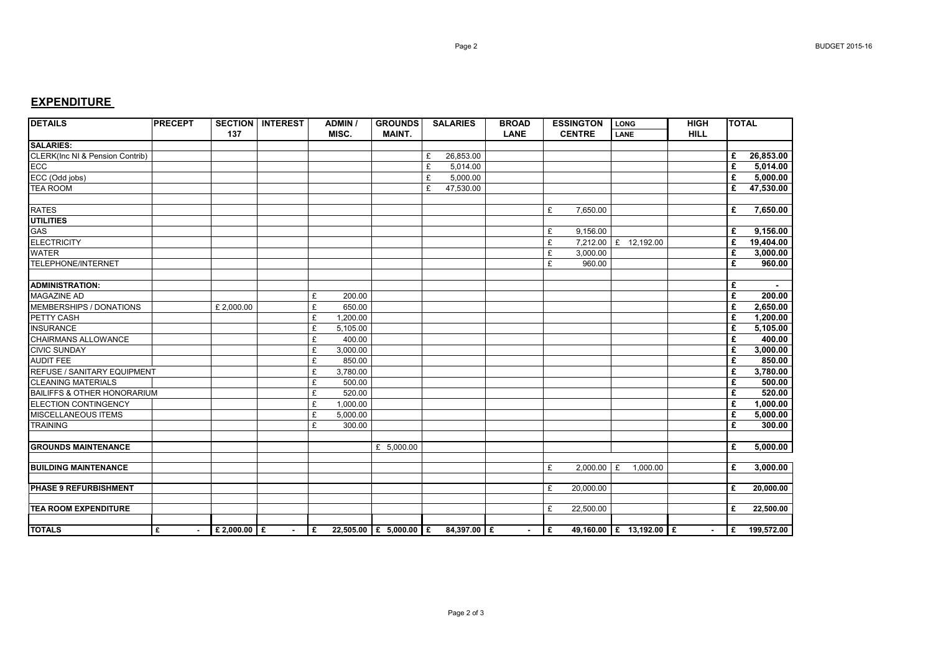## **EXPENDITURE**

| <b>DETAILS</b>                             | <b>PRECEPT</b> | 137              | <b>SECTION INTEREST</b> |     | <b>ADMIN /</b><br>MISC. | <b>GROUNDS</b><br><b>MAINT.</b> |   | <b>SALARIES</b> | <b>BROAD</b><br><b>LANE</b> |     | <b>ESSINGTON</b><br><b>CENTRE</b> | <b>LONG</b><br>LANE |          | <b>HIGH</b><br><b>HILL</b> | <b>TOTAL</b> |              |
|--------------------------------------------|----------------|------------------|-------------------------|-----|-------------------------|---------------------------------|---|-----------------|-----------------------------|-----|-----------------------------------|---------------------|----------|----------------------------|--------------|--------------|
| <b>SALARIES:</b>                           |                |                  |                         |     |                         |                                 |   |                 |                             |     |                                   |                     |          |                            |              |              |
| <b>CLERK(Inc NI &amp; Pension Contrib)</b> |                |                  |                         |     |                         |                                 | £ | 26,853.00       |                             |     |                                   |                     |          |                            | £            | 26,853.00    |
| ECC                                        |                |                  |                         |     |                         |                                 | £ | 5,014.00        |                             |     |                                   |                     |          |                            | £            | 5,014.00     |
| ECC (Odd jobs)                             |                |                  |                         |     |                         |                                 | £ | 5,000.00        |                             |     |                                   |                     |          |                            | £            | 5,000.00     |
| <b>TEA ROOM</b>                            |                |                  |                         |     |                         |                                 | £ | 47,530.00       |                             |     |                                   |                     |          |                            | £            | 47,530.00    |
|                                            |                |                  |                         |     |                         |                                 |   |                 |                             |     |                                   |                     |          |                            |              |              |
| <b>RATES</b>                               |                |                  |                         |     |                         |                                 |   |                 |                             | £   | 7,650.00                          |                     |          |                            | £            | 7,650.00     |
| <b>UTILITIES</b>                           |                |                  |                         |     |                         |                                 |   |                 |                             |     |                                   |                     |          |                            |              |              |
| <b>GAS</b>                                 |                |                  |                         |     |                         |                                 |   |                 |                             | £   | 9,156.00                          |                     |          |                            | £            | 9.156.00     |
| <b>ELECTRICITY</b>                         |                |                  |                         |     |                         |                                 |   |                 |                             | £   | 7.212.00 E 12.192.00              |                     |          |                            | £            | 19,404.00    |
| <b>WATER</b>                               |                |                  |                         |     |                         |                                 |   |                 |                             | £   | 3,000.00                          |                     |          |                            | £            | 3,000.00     |
| <b>TELEPHONE/INTERNET</b>                  |                |                  |                         |     |                         |                                 |   |                 |                             | £   | 960.00                            |                     |          |                            | £            | 960.00       |
|                                            |                |                  |                         |     |                         |                                 |   |                 |                             |     |                                   |                     |          |                            |              |              |
| <b>ADMINISTRATION:</b>                     |                |                  |                         |     |                         |                                 |   |                 |                             |     |                                   |                     |          |                            | £            |              |
| <b>MAGAZINE AD</b>                         |                |                  |                         | £   | 200.00                  |                                 |   |                 |                             |     |                                   |                     |          |                            | £            | 200.00       |
| MEMBERSHIPS / DONATIONS                    |                | £ 2,000.00       |                         | £   | 650.00                  |                                 |   |                 |                             |     |                                   |                     |          |                            | £            | 2,650.00     |
| PETTY CASH                                 |                |                  |                         | £   | 1,200.00                |                                 |   |                 |                             |     |                                   |                     |          |                            | £            | 1,200.00     |
| <b>INSURANCE</b>                           |                |                  |                         | £   | 5,105.00                |                                 |   |                 |                             |     |                                   |                     |          |                            | £            | 5,105.00     |
| CHAIRMANS ALLOWANCE                        |                |                  |                         | £   | 400.00                  |                                 |   |                 |                             |     |                                   |                     |          |                            | £            | 400.00       |
| <b>CIVIC SUNDAY</b>                        |                |                  |                         | £   | 3,000.00                |                                 |   |                 |                             |     |                                   |                     |          |                            | £            | 3,000.00     |
| <b>AUDIT FEE</b>                           |                |                  |                         | £   | 850.00                  |                                 |   |                 |                             |     |                                   |                     |          |                            | £            | 850.00       |
| REFUSE / SANITARY EQUIPMENT                |                |                  |                         | £   | 3,780.00                |                                 |   |                 |                             |     |                                   |                     |          |                            | £            | 3,780.00     |
| <b>CLEANING MATERIALS</b>                  |                |                  |                         | £   | 500.00                  |                                 |   |                 |                             |     |                                   |                     |          |                            | £            | 500.00       |
| <b>BAILIFFS &amp; OTHER HONORARIUM</b>     |                |                  |                         | £   | 520.00                  |                                 |   |                 |                             |     |                                   |                     |          |                            | £            | 520.00       |
| <b>ELECTION CONTINGENCY</b>                |                |                  |                         | £   | 1.000.00                |                                 |   |                 |                             |     |                                   |                     |          |                            | £            | 1.000.00     |
| <b>MISCELLANEOUS ITEMS</b>                 |                |                  |                         | £   | 5,000.00                |                                 |   |                 |                             |     |                                   |                     |          |                            | £            | 5,000.00     |
| <b>TRAINING</b>                            |                |                  |                         | £   | 300.00                  |                                 |   |                 |                             |     |                                   |                     |          |                            | £            | 300.00       |
|                                            |                |                  |                         |     |                         |                                 |   |                 |                             |     |                                   |                     |          |                            |              |              |
| <b>GROUNDS MAINTENANCE</b>                 |                |                  |                         |     |                         | £ 5,000.00                      |   |                 |                             |     |                                   |                     |          |                            | £            | 5,000.00     |
|                                            |                |                  |                         |     |                         |                                 |   |                 |                             |     |                                   |                     |          |                            |              |              |
| <b>BUILDING MAINTENANCE</b>                |                |                  |                         |     |                         |                                 |   |                 |                             | £   | $2.000.00$ £                      |                     | 1,000.00 |                            | £            | 3.000.00     |
|                                            |                |                  |                         |     |                         |                                 |   |                 |                             |     |                                   |                     |          |                            |              |              |
| <b>PHASE 9 REFURBISHMENT</b>               |                |                  |                         |     |                         |                                 |   |                 |                             | £   | 20,000.00                         |                     |          |                            | £            | 20,000.00    |
| <b>TEA ROOM EXPENDITURE</b>                |                |                  |                         |     |                         |                                 |   |                 |                             | £   | 22,500.00                         |                     |          |                            | £            | 22,500.00    |
|                                            |                |                  |                         |     |                         |                                 |   |                 |                             |     |                                   |                     |          |                            |              |              |
| <b>TOTALS</b>                              | £<br>$\sim$    | $E$ 2,000.00 $E$ | $\sim$                  | l £ |                         | 22,505.00 £ 5,000.00 £          |   | 84.397.00 E     |                             | l £ | 49,160.00 E 13,192.00 E           |                     |          | $\sim$                     |              | £ 199,572.00 |